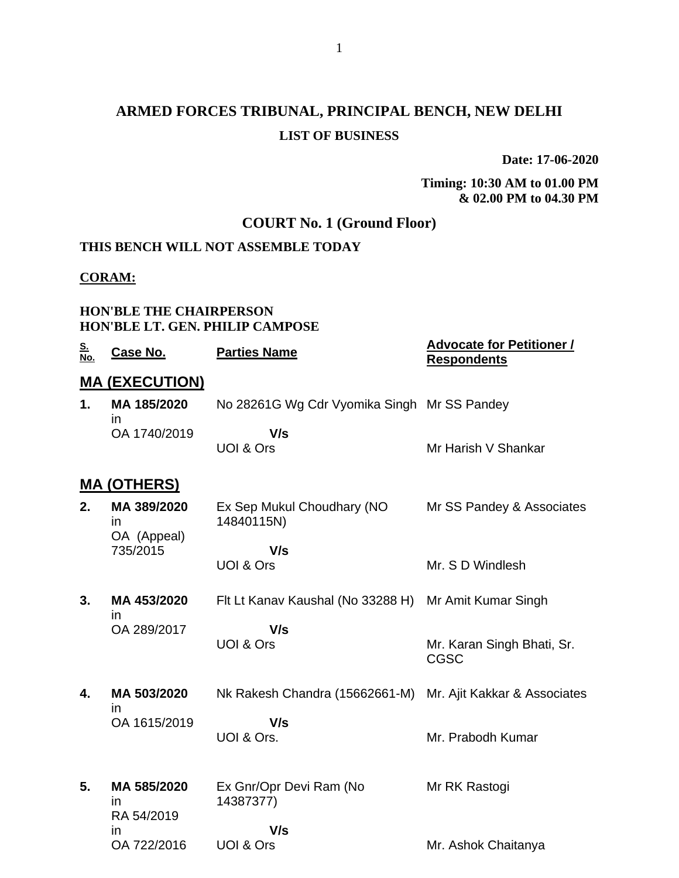# **ARMED FORCES TRIBUNAL, PRINCIPAL BENCH, NEW DELHI LIST OF BUSINESS**

**Date: 17-06-2020**

#### **Timing: 10:30 AM to 01.00 PM & 02.00 PM to 04.30 PM**

## **COURT No. 1 (Ground Floor)**

## **THIS BENCH WILL NOT ASSEMBLE TODAY**

#### **CORAM:**

#### **HON'BLE THE CHAIRPERSON HON'BLE LT. GEN. PHILIP CAMPOSE**

| <u>S.</u><br>No. | Case No.                         | <b>Parties Name</b>                         | <b>Advocate for Petitioner /</b><br><b>Respondents</b> |
|------------------|----------------------------------|---------------------------------------------|--------------------------------------------------------|
|                  | <b>MA (EXECUTION)</b>            |                                             |                                                        |
| 1.               | MA 185/2020<br>ın                | No 28261G Wg Cdr Vyomika Singh Mr SS Pandey |                                                        |
|                  | OA 1740/2019                     | V/s<br>UOI & Ors                            | Mr Harish V Shankar                                    |
|                  | <u>MA (OTHERS)</u>               |                                             |                                                        |
| 2.               | MA 389/2020<br>in.               | Ex Sep Mukul Choudhary (NO<br>14840115N)    | Mr SS Pandey & Associates                              |
|                  | OA (Appeal)<br>735/2015          | V/s                                         |                                                        |
|                  |                                  | <b>UOI &amp; Ors</b>                        | Mr. S D Windlesh                                       |
| 3.               | MA 453/2020<br>in                | Flt Lt Kanav Kaushal (No 33288 H)           | Mr Amit Kumar Singh                                    |
|                  | OA 289/2017                      | V/s<br><b>UOI &amp; Ors</b>                 | Mr. Karan Singh Bhati, Sr.<br>CGSC                     |
| 4.               | MA 503/2020<br>in                | Nk Rakesh Chandra (15662661-M)              | Mr. Ajit Kakkar & Associates                           |
|                  | OA 1615/2019                     | V/s                                         |                                                        |
|                  |                                  | UOI & Ors.                                  | Mr. Prabodh Kumar                                      |
| 5.               | MA 585/2020<br>in.<br>RA 54/2019 | Ex Gnr/Opr Devi Ram (No<br>14387377)        | Mr RK Rastogi                                          |
|                  | in<br>OA 722/2016                | V/s<br><b>UOI &amp; Ors</b>                 | Mr. Ashok Chaitanya                                    |
|                  |                                  |                                             |                                                        |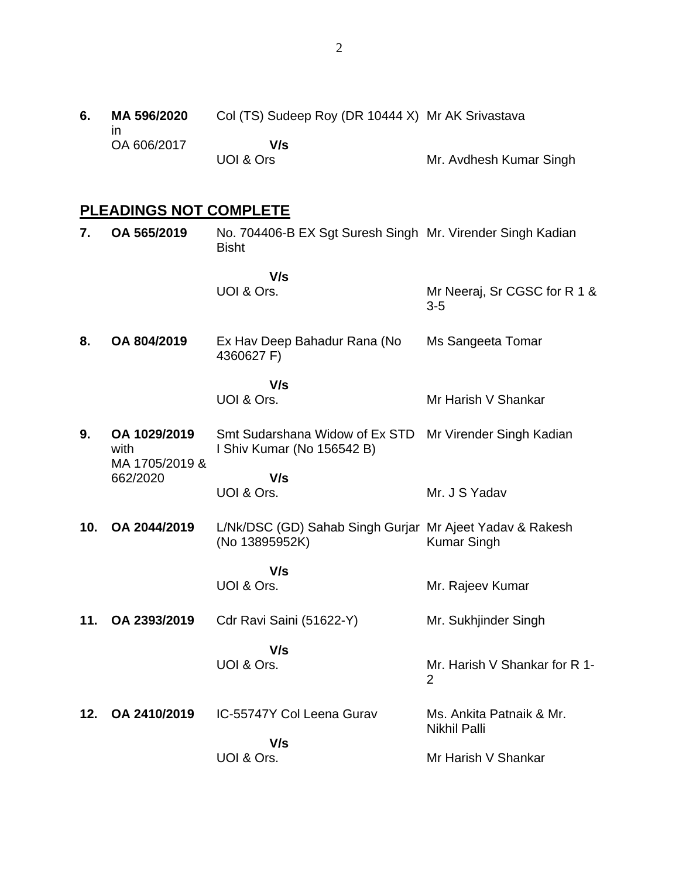**6. MA 596/2020** in OA 606/2017 Col (TS) Sudeep Roy (DR 10444 X) Mr AK Srivastava  **V/s** UOI & Ors Mr. Avdhesh Kumar Singh

# **PLEADINGS NOT COMPLETE**

| 7.  | OA 565/2019                            | No. 704406-B EX Sgt Suresh Singh Mr. Virender Singh Kadian<br><b>Bisht</b> |                                                 |
|-----|----------------------------------------|----------------------------------------------------------------------------|-------------------------------------------------|
|     |                                        | V/s<br>UOI & Ors.                                                          | Mr Neeraj, Sr CGSC for R 1 &<br>$3-5$           |
| 8.  | OA 804/2019                            | Ex Hav Deep Bahadur Rana (No<br>4360627 F)                                 | Ms Sangeeta Tomar                               |
|     |                                        | V/s<br>UOI & Ors.                                                          | Mr Harish V Shankar                             |
| 9.  | OA 1029/2019<br>with<br>MA 1705/2019 & | Smt Sudarshana Widow of Ex STD<br>I Shiv Kumar (No 156542 B)               | Mr Virender Singh Kadian                        |
|     | 662/2020                               | V/s<br>UOI & Ors.                                                          | Mr. J S Yadav                                   |
| 10. | OA 2044/2019                           | L/Nk/DSC (GD) Sahab Singh Gurjar Mr Ajeet Yadav & Rakesh<br>(No 13895952K) | <b>Kumar Singh</b>                              |
|     |                                        | V/s<br>UOI & Ors.                                                          | Mr. Rajeev Kumar                                |
| 11. | OA 2393/2019                           | Cdr Ravi Saini (51622-Y)                                                   | Mr. Sukhjinder Singh                            |
|     |                                        | V/s<br>UOI & Ors.                                                          | Mr. Harish V Shankar for R 1-<br>$\overline{2}$ |
| 12. | OA 2410/2019                           | IC-55747Y Col Leena Gurav                                                  | Ms. Ankita Patnaik & Mr.<br><b>Nikhil Palli</b> |
|     |                                        | V/s<br>UOI & Ors.                                                          | Mr Harish V Shankar                             |
|     |                                        |                                                                            |                                                 |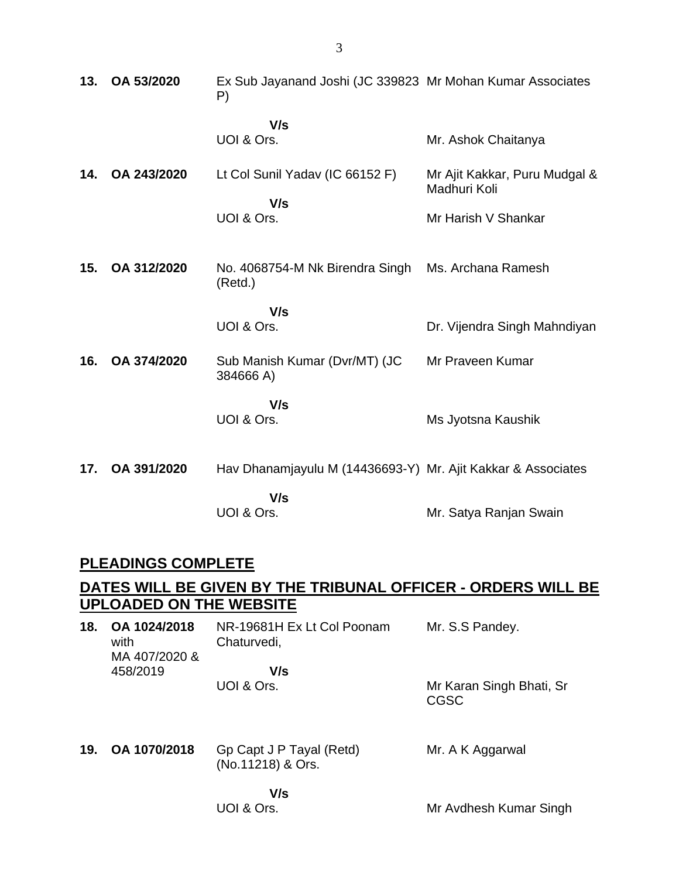| 13. | OA 53/2020  | Ex Sub Jayanand Joshi (JC 339823 Mr Mohan Kumar Associates<br>P) |                                               |
|-----|-------------|------------------------------------------------------------------|-----------------------------------------------|
|     |             | V/s<br>UOI & Ors.                                                | Mr. Ashok Chaitanya                           |
| 14. | OA 243/2020 | Lt Col Sunil Yadav (IC 66152 F)                                  | Mr Ajit Kakkar, Puru Mudgal &<br>Madhuri Koli |
|     |             | V/s<br>UOI & Ors.                                                | Mr Harish V Shankar                           |
| 15. | OA 312/2020 | No. 4068754-M Nk Birendra Singh<br>(Retd.)                       | Ms. Archana Ramesh                            |
|     |             | V/s<br>UOI & Ors.                                                | Dr. Vijendra Singh Mahndiyan                  |
| 16. | OA 374/2020 | Sub Manish Kumar (Dvr/MT) (JC<br>384666 A)                       | Mr Praveen Kumar                              |
|     |             | V/s<br>UOI & Ors.                                                | Ms Jyotsna Kaushik                            |
| 17. | OA 391/2020 | Hav Dhanamjayulu M (14436693-Y) Mr. Ajit Kakkar & Associates     |                                               |
|     |             | V/s<br>UOI & Ors.                                                | Mr. Satya Ranjan Swain                        |

## **PLEADINGS COMPLETE**

## **DATES WILL BE GIVEN BY THE TRIBUNAL OFFICER - ORDERS WILL BE UPLOADED ON THE WEBSITE**

| 18. | OA 1024/2018<br>with<br>MA 407/2020 & | NR-19681H Ex Lt Col Poonam<br>Chaturvedi,     | Mr. S.S Pandey.                         |
|-----|---------------------------------------|-----------------------------------------------|-----------------------------------------|
|     | 458/2019                              | V/s                                           |                                         |
|     |                                       | UOI & Ors.                                    | Mr Karan Singh Bhati, Sr<br><b>CGSC</b> |
| 19. | OA 1070/2018                          | Gp Capt J P Tayal (Retd)<br>(No.11218) & Ors. | Mr. A K Aggarwal                        |
|     |                                       | V/s                                           |                                         |

Mr Avdhesh Kumar Singh

3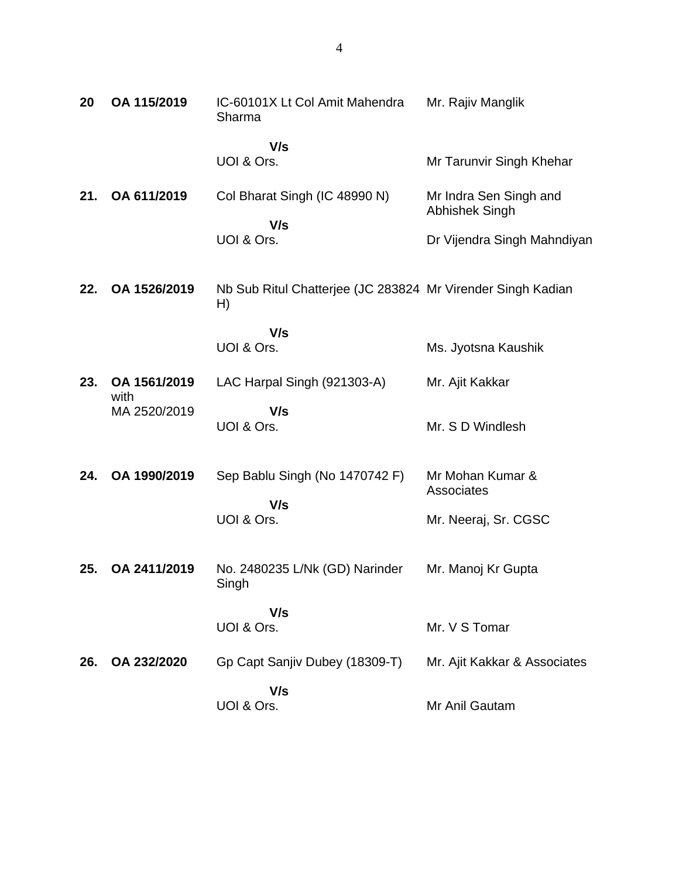| 20  | OA 115/2019          | IC-60101X Lt Col Amit Mahendra<br>Sharma                          | Mr. Rajiv Manglik                               |
|-----|----------------------|-------------------------------------------------------------------|-------------------------------------------------|
|     |                      | V/s<br>UOI & Ors.                                                 | Mr Tarunvir Singh Khehar                        |
| 21. | OA 611/2019          | Col Bharat Singh (IC 48990 N)<br>V/s                              | Mr Indra Sen Singh and<br><b>Abhishek Singh</b> |
|     |                      | UOI & Ors.                                                        | Dr Vijendra Singh Mahndiyan                     |
| 22. | OA 1526/2019         | Nb Sub Ritul Chatterjee (JC 283824 Mr Virender Singh Kadian<br>H) |                                                 |
|     |                      | V/s<br>UOI & Ors.                                                 | Ms. Jyotsna Kaushik                             |
| 23. | OA 1561/2019<br>with | LAC Harpal Singh (921303-A)                                       | Mr. Ajit Kakkar                                 |
|     | MA 2520/2019         | V/s<br>UOI & Ors.                                                 | Mr. S D Windlesh                                |
| 24. | OA 1990/2019         | Sep Bablu Singh (No 1470742 F)<br>V/s                             | Mr Mohan Kumar &<br>Associates                  |
|     |                      | UOI & Ors.                                                        | Mr. Neeraj, Sr. CGSC                            |
| 25. | OA 2411/2019         | No. 2480235 L/Nk (GD) Narinder<br>Singh                           | Mr. Manoj Kr Gupta                              |
|     |                      | V/s<br>UOI & Ors.                                                 | Mr. V S Tomar                                   |
| 26. | OA 232/2020          | Gp Capt Sanjiv Dubey (18309-T)                                    | Mr. Ajit Kakkar & Associates                    |
|     |                      | V/s<br>UOI & Ors.                                                 | Mr Anil Gautam                                  |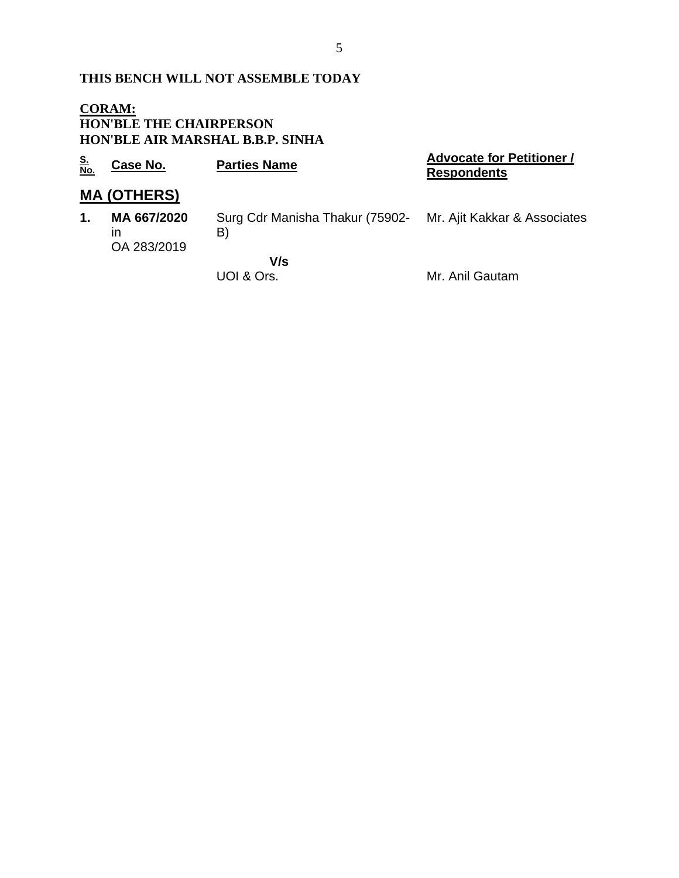### **THIS BENCH WILL NOT ASSEMBLE TODAY**

#### **CORAM: HON'BLE THE CHAIRPERSON HON'BLE AIR MARSHAL B.B.P. SINHA**

| <u>S.</u><br>No. | Case No.                         | <b>Parties Name</b>                                                | <b>Advocate for Petitioner /</b><br><b>Respondents</b> |
|------------------|----------------------------------|--------------------------------------------------------------------|--------------------------------------------------------|
|                  | <b>MA (OTHERS)</b>               |                                                                    |                                                        |
| $\mathbf{1}$ .   | MA 667/2020<br>ın<br>OA 283/2019 | Surg Cdr Manisha Thakur (75902- Mr. Ajit Kakkar & Associates<br>B) |                                                        |
|                  |                                  | V/s<br>UOI & Ors.                                                  | Mr. Anil Gautam                                        |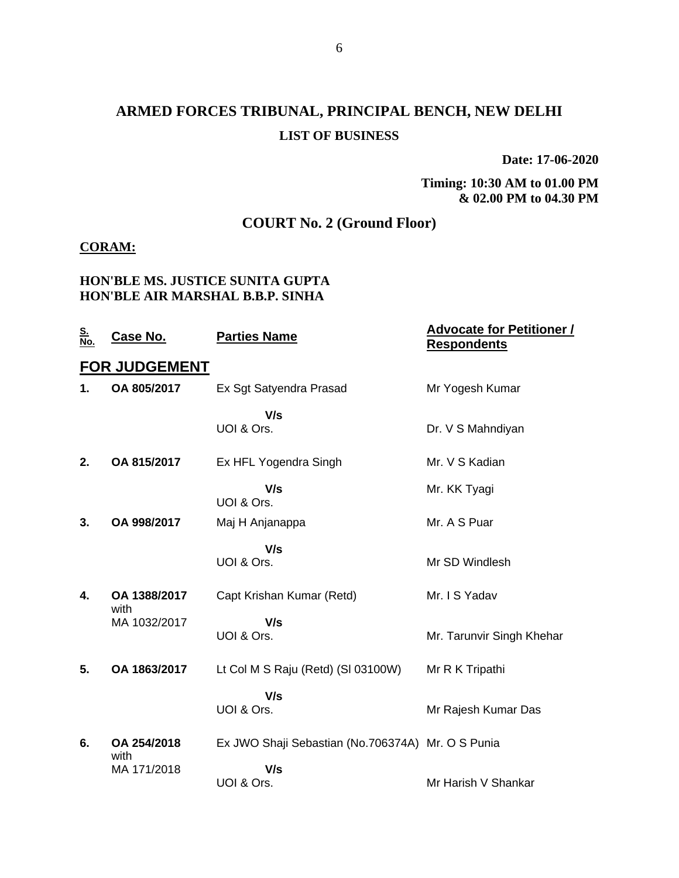# **ARMED FORCES TRIBUNAL, PRINCIPAL BENCH, NEW DELHI LIST OF BUSINESS**

**Date: 17-06-2020**

**Timing: 10:30 AM to 01.00 PM & 02.00 PM to 04.30 PM**

### **COURT No. 2 (Ground Floor)**

#### **CORAM:**

#### **HON'BLE MS. JUSTICE SUNITA GUPTA HON'BLE AIR MARSHAL B.B.P. SINHA**

| <u>S.<br/>No.</u> | Case No.             | <b>Parties Name</b>                               | <b>Advocate for Petitioner /</b><br><b>Respondents</b> |
|-------------------|----------------------|---------------------------------------------------|--------------------------------------------------------|
|                   | <b>FOR JUDGEMENT</b> |                                                   |                                                        |
| 1.                | OA 805/2017          | Ex Sgt Satyendra Prasad                           | Mr Yogesh Kumar                                        |
|                   |                      | V/s<br>UOI & Ors.                                 | Dr. V S Mahndiyan                                      |
| 2.                | OA 815/2017          | Ex HFL Yogendra Singh                             | Mr. V S Kadian                                         |
|                   |                      | V/s<br>UOI & Ors.                                 | Mr. KK Tyagi                                           |
| 3.                | OA 998/2017          | Maj H Anjanappa                                   | Mr. A S Puar                                           |
|                   |                      | V/s<br>UOI & Ors.                                 | Mr SD Windlesh                                         |
| 4.                | OA 1388/2017         | Capt Krishan Kumar (Retd)                         | Mr. I S Yadav                                          |
|                   | with<br>MA 1032/2017 | V/s<br>UOI & Ors.                                 | Mr. Tarunvir Singh Khehar                              |
| 5.                | OA 1863/2017         | Lt Col M S Raju (Retd) (SI 03100W)                | Mr R K Tripathi                                        |
|                   |                      | V/s<br>UOI & Ors.                                 | Mr Rajesh Kumar Das                                    |
| 6.                | OA 254/2018<br>with  | Ex JWO Shaji Sebastian (No.706374A) Mr. O S Punia |                                                        |
|                   | MA 171/2018          | V/s<br>UOI & Ors.                                 | Mr Harish V Shankar                                    |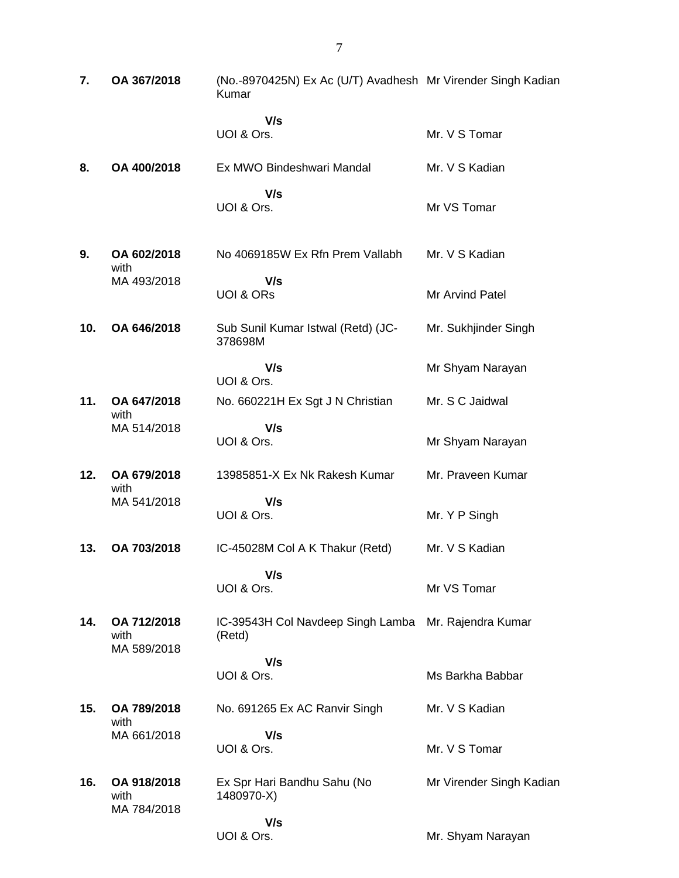| 7.  | OA 367/2018                        | (No.-8970425N) Ex Ac (U/T) Avadhesh Mr Virender Singh Kadian<br>Kumar |                          |
|-----|------------------------------------|-----------------------------------------------------------------------|--------------------------|
|     |                                    | V/s<br>UOI & Ors.                                                     | Mr. V S Tomar            |
| 8.  | OA 400/2018                        | Ex MWO Bindeshwari Mandal                                             | Mr. V S Kadian           |
|     |                                    | V/s<br>UOI & Ors.                                                     | Mr VS Tomar              |
| 9.  | OA 602/2018<br>with                | No 4069185W Ex Rfn Prem Vallabh                                       | Mr. V S Kadian           |
|     | MA 493/2018                        | V/s<br><b>UOI &amp; ORS</b>                                           | Mr Arvind Patel          |
| 10. | OA 646/2018                        | Sub Sunil Kumar Istwal (Retd) (JC-<br>378698M                         | Mr. Sukhjinder Singh     |
|     |                                    | V/s<br>UOI & Ors.                                                     | Mr Shyam Narayan         |
| 11. | OA 647/2018<br>with                | No. 660221H Ex Sgt J N Christian                                      | Mr. S C Jaidwal          |
|     | MA 514/2018                        | V/s<br>UOI & Ors.                                                     | Mr Shyam Narayan         |
| 12. | OA 679/2018                        | 13985851-X Ex Nk Rakesh Kumar                                         | Mr. Praveen Kumar        |
|     | with<br>MA 541/2018                | V/s<br>UOI & Ors.                                                     | Mr. Y P Singh            |
| 13. | OA 703/2018                        | IC-45028M Col A K Thakur (Retd)                                       | Mr. V S Kadian           |
|     |                                    | V/s<br>UOI & Ors.                                                     | Mr VS Tomar              |
| 14. | OA 712/2018<br>with<br>MA 589/2018 | IC-39543H Col Navdeep Singh Lamba<br>(Retd)                           | Mr. Rajendra Kumar       |
|     |                                    | V/s<br>UOI & Ors.                                                     | Ms Barkha Babbar         |
| 15. | OA 789/2018                        | No. 691265 Ex AC Ranvir Singh                                         | Mr. V S Kadian           |
|     | with<br>MA 661/2018                | V/s<br>UOI & Ors.                                                     | Mr. V S Tomar            |
| 16. | OA 918/2018<br>with                | Ex Spr Hari Bandhu Sahu (No<br>1480970-X)                             | Mr Virender Singh Kadian |
|     | MA 784/2018                        | V/s<br>UOI & Ors.                                                     | Mr. Shyam Narayan        |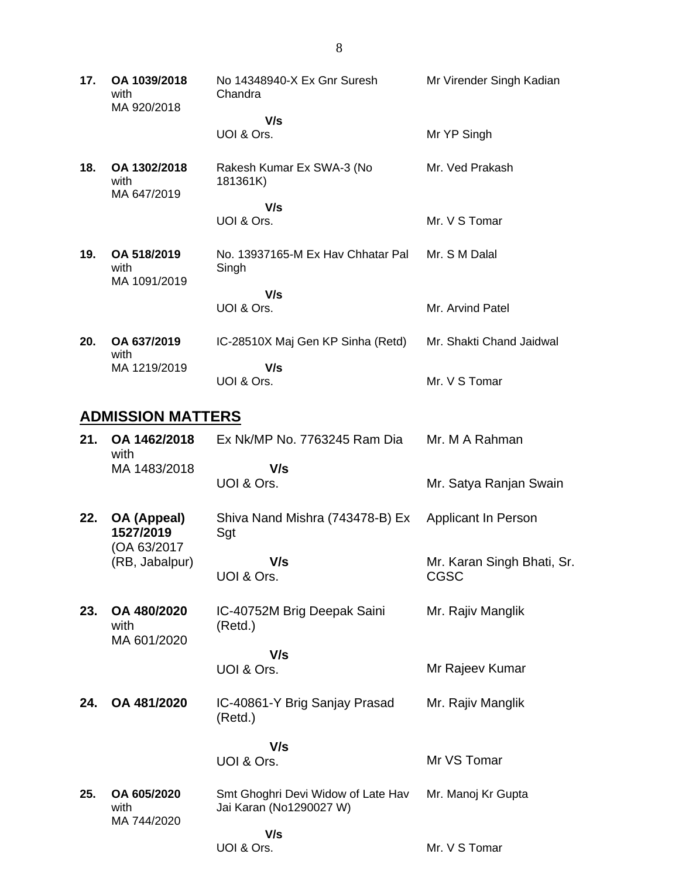**17. OA 1039/2018** with MA 920/2018 No 14348940-X Ex Gnr Suresh Chandra  **V/s** UOI & Ors. Mr Virender Singh Kadian Mr YP Singh **18. OA 1302/2018** with MA 647/2019 Rakesh Kumar Ex SWA-3 (No 181361K)  **V/s** UOI & Ors. Mr. Ved Prakash Mr. V S Tomar **19. OA 518/2019** with MA 1091/2019 No. 13937165-M Ex Hav Chhatar Pal Singh  **V/s** UOI & Ors. Mr. S M Dalal Mr. Arvind Patel **20. OA 637/2019** with MA 1219/2019 IC-28510X Maj Gen KP Sinha (Retd)  **V/s** UOI & Ors. Mr. Shakti Chand Jaidwal Mr. V S Tomar

#### **ADMISSION MATTERS**

| 21. | OA 1462/2018<br>with               | Ex Nk/MP No. 7763245 Ram Dia                                  | Mr. M A Rahman                            |
|-----|------------------------------------|---------------------------------------------------------------|-------------------------------------------|
|     | MA 1483/2018                       | V/s<br>UOI & Ors.                                             | Mr. Satya Ranjan Swain                    |
| 22. | OA (Appeal)<br>1527/2019           | Shiva Nand Mishra (743478-B) Ex<br>Sgt                        | <b>Applicant In Person</b>                |
|     | (OA 63/2017<br>(RB, Jabalpur)      | V/s<br>UOI & Ors.                                             | Mr. Karan Singh Bhati, Sr.<br><b>CGSC</b> |
| 23. | OA 480/2020<br>with<br>MA 601/2020 | IC-40752M Brig Deepak Saini<br>(Retd.)                        | Mr. Rajiv Manglik                         |
|     |                                    | V/s<br>UOI & Ors.                                             | Mr Rajeev Kumar                           |
| 24. | OA 481/2020                        | IC-40861-Y Brig Sanjay Prasad<br>(Retd.)                      | Mr. Rajiv Manglik                         |
|     |                                    | V/s<br>UOI & Ors.                                             | Mr VS Tomar                               |
| 25. | OA 605/2020<br>with<br>MA 744/2020 | Smt Ghoghri Devi Widow of Late Hav<br>Jai Karan (No1290027 W) | Mr. Manoj Kr Gupta                        |
|     |                                    | V/s<br>UOI & Ors.                                             | Mr. V S Tomar                             |

8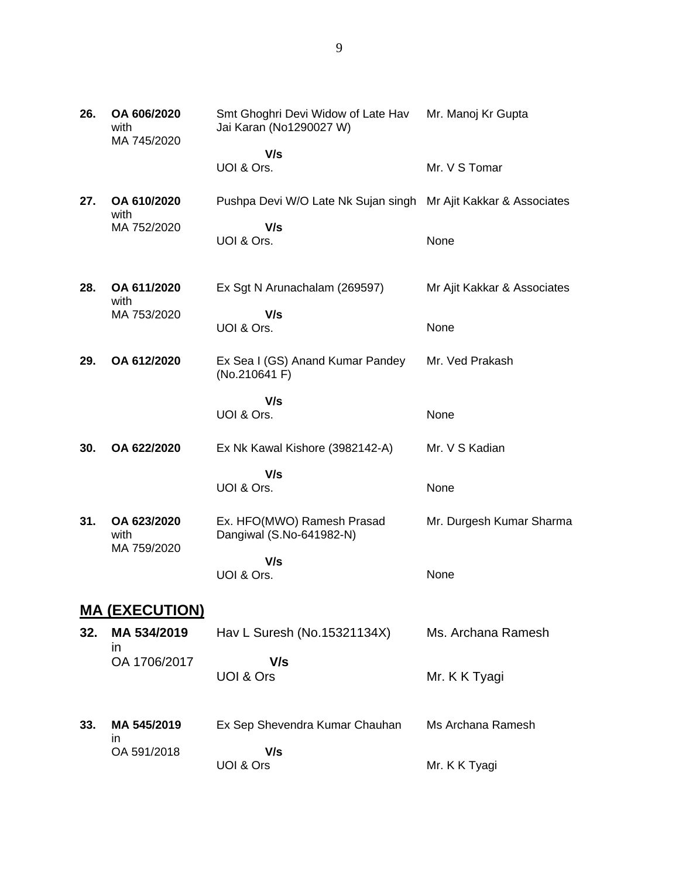| 26. | OA 606/2020<br>with<br>MA 745/2020 | Smt Ghoghri Devi Widow of Late Hav<br>Jai Karan (No1290027 W)   | Mr. Manoj Kr Gupta          |
|-----|------------------------------------|-----------------------------------------------------------------|-----------------------------|
|     |                                    | V/s<br>UOI & Ors.                                               | Mr. V S Tomar               |
| 27. | OA 610/2020<br>with                | Pushpa Devi W/O Late Nk Sujan singh Mr Ajit Kakkar & Associates |                             |
|     | MA 752/2020                        | V/s<br>UOI & Ors.                                               | None                        |
| 28. | OA 611/2020<br>with                | Ex Sgt N Arunachalam (269597)                                   | Mr Ajit Kakkar & Associates |
|     | MA 753/2020                        | V/s<br>UOI & Ors.                                               | None                        |
| 29. | OA 612/2020                        | Ex Sea I (GS) Anand Kumar Pandey<br>(No.210641 F)               | Mr. Ved Prakash             |
|     |                                    | V/s<br>UOI & Ors.                                               | None                        |
| 30. | OA 622/2020                        | Ex Nk Kawal Kishore (3982142-A)                                 | Mr. V S Kadian              |
|     |                                    | V/s<br>UOI & Ors.                                               | None                        |
| 31. | OA 623/2020<br>with<br>MA 759/2020 | Ex. HFO(MWO) Ramesh Prasad<br>Dangiwal (S.No-641982-N)          | Mr. Durgesh Kumar Sharma    |
|     |                                    | V/s<br>UOI & Ors.                                               | None                        |
|     | <u>MA (EXECUTION)</u>              |                                                                 |                             |
| 32. | MA 534/2019<br><i>in</i>           | Hav L Suresh (No.15321134X)                                     | Ms. Archana Ramesh          |
|     | OA 1706/2017                       | V/s<br>UOI & Ors                                                | Mr. K K Tyagi               |

**33. MA 545/2019** in OA 591/2018 Ex Sep Shevendra Kumar Chauhan  **V/s** UOI & Ors Ms Archana Ramesh Mr. K K Tyagi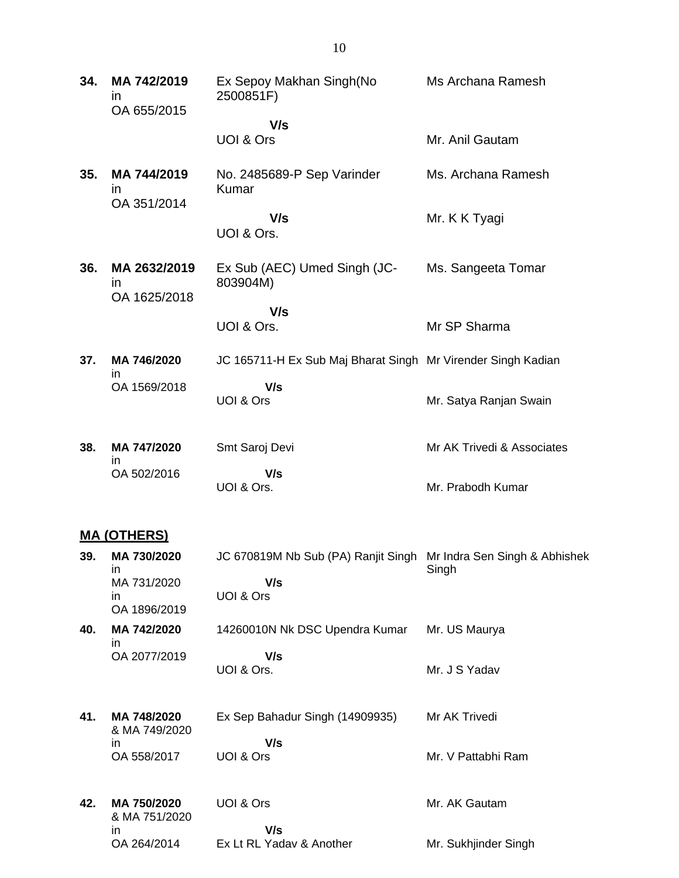| 34. | MA 742/2019<br><i>in</i><br>OA 655/2015 | Ex Sepoy Makhan Singh(No<br>2500851F)                        | Ms Archana Ramesh          |
|-----|-----------------------------------------|--------------------------------------------------------------|----------------------------|
|     |                                         | V/s<br>UOI & Ors                                             | Mr. Anil Gautam            |
| 35. | MA 744/2019<br>in.                      | No. 2485689-P Sep Varinder<br>Kumar                          | Ms. Archana Ramesh         |
|     | OA 351/2014                             | V/s<br>UOI & Ors.                                            | Mr. K K Tyagi              |
| 36. | MA 2632/2019<br>in<br>OA 1625/2018      | Ex Sub (AEC) Umed Singh (JC-<br>803904M)                     | Ms. Sangeeta Tomar         |
|     |                                         | V/s<br>UOI & Ors.                                            | Mr SP Sharma               |
| 37. | MA 746/2020                             | JC 165711-H Ex Sub Maj Bharat Singh Mr Virender Singh Kadian |                            |
|     | <i>in</i><br>OA 1569/2018               | V/s<br>UOI & Ors                                             | Mr. Satya Ranjan Swain     |
| 38. | MA 747/2020<br>in                       | Smt Saroj Devi                                               | Mr AK Trivedi & Associates |
|     | OA 502/2016                             | V/s<br>UOI & Ors.                                            | Mr. Prabodh Kumar          |

### **MA (OTHERS)**

| 39. | MA 730/2020<br>in                  | JC 670819M Nb Sub (PA) Ranjit Singh | Mr Indra Sen Singh & Abhishek<br>Singh |
|-----|------------------------------------|-------------------------------------|----------------------------------------|
|     | MA 731/2020<br>in.<br>OA 1896/2019 | V/s<br>UOI & Ors                    |                                        |
| 40. | MA 742/2020<br>in.                 | 14260010N Nk DSC Upendra Kumar      | Mr. US Maurya                          |
|     | OA 2077/2019                       | V/s                                 |                                        |
|     |                                    | UOI & Ors.                          | Mr. J S Yadav                          |
| 41. | MA 748/2020<br>& MA 749/2020       | Ex Sep Bahadur Singh (14909935)     | Mr AK Trivedi                          |
|     | in                                 | V/s                                 |                                        |
|     | OA 558/2017                        | UOI & Ors                           | Mr. V Pattabhi Ram                     |
| 42. | MA 750/2020                        | UOI & Ors                           | Mr. AK Gautam                          |
|     | & MA 751/2020                      |                                     |                                        |
|     | in.                                | V/s                                 |                                        |
|     | OA 264/2014                        | Ex Lt RL Yaday & Another            | Mr. Sukhjinder Singh                   |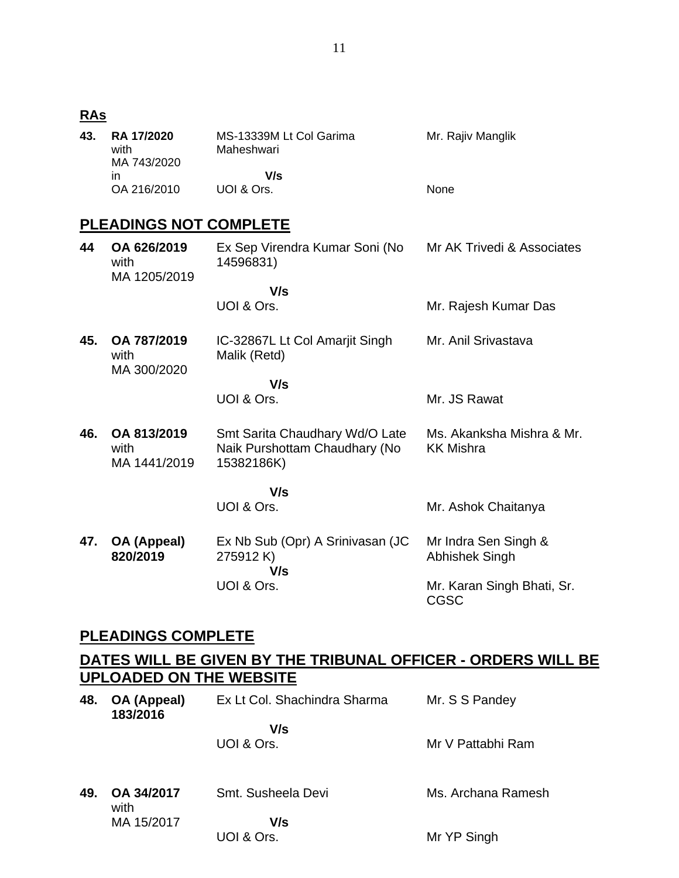#### **RAs**

| 43. | <b>RA 17/2020</b><br>with<br>MA 743/2020 | MS-13339M Lt Col Garima<br>Maheshwari | Mr. Rajiv Manglik |
|-----|------------------------------------------|---------------------------------------|-------------------|
|     | ın                                       | V/s                                   |                   |
|     | OA 216/2010                              | UOI & Ors.                            | <b>None</b>       |

## **PLEADINGS NOT COMPLETE**

| 44  | OA 626/2019<br>with<br>MA 1205/2019 | Ex Sep Virendra Kumar Soni (No<br>14596831)                                   | Mr AK Trivedi & Associates                    |
|-----|-------------------------------------|-------------------------------------------------------------------------------|-----------------------------------------------|
|     |                                     | V/s                                                                           |                                               |
|     |                                     | UOI & Ors.                                                                    | Mr. Rajesh Kumar Das                          |
| 45. | OA 787/2019<br>with<br>MA 300/2020  | IC-32867L Lt Col Amarjit Singh<br>Malik (Retd)                                | Mr. Anil Srivastava                           |
|     |                                     | V/s                                                                           |                                               |
|     |                                     | UOI & Ors.                                                                    | Mr. JS Rawat                                  |
| 46. | OA 813/2019<br>with<br>MA 1441/2019 | Smt Sarita Chaudhary Wd/O Late<br>Naik Purshottam Chaudhary (No<br>15382186K) | Ms. Akanksha Mishra & Mr.<br><b>KK Mishra</b> |
|     |                                     | V/s                                                                           |                                               |
|     |                                     | UOI & Ors.                                                                    | Mr. Ashok Chaitanya                           |
| 47. | OA (Appeal)<br>820/2019             | Ex Nb Sub (Opr) A Srinivasan (JC<br>275912K)<br>V/s                           | Mr Indra Sen Singh &<br>Abhishek Singh        |
|     |                                     | UOI & Ors.                                                                    | Mr. Karan Singh Bhati, Sr.<br><b>CGSC</b>     |

## **PLEADINGS COMPLETE**

## **DATES WILL BE GIVEN BY THE TRIBUNAL OFFICER - ORDERS WILL BE UPLOADED ON THE WEBSITE**

| 48. | OA (Appeal)<br>183/2016 | Ex Lt Col. Shachindra Sharma | Mr. S S Pandey     |
|-----|-------------------------|------------------------------|--------------------|
|     |                         | V/s<br>UOI & Ors.            | Mr V Pattabhi Ram  |
| 49. | OA 34/2017<br>with      | Smt. Susheela Devi           | Ms. Archana Ramesh |
|     | MA 15/2017              | V/s<br>UOI & Ors.            | Mr YP Singh        |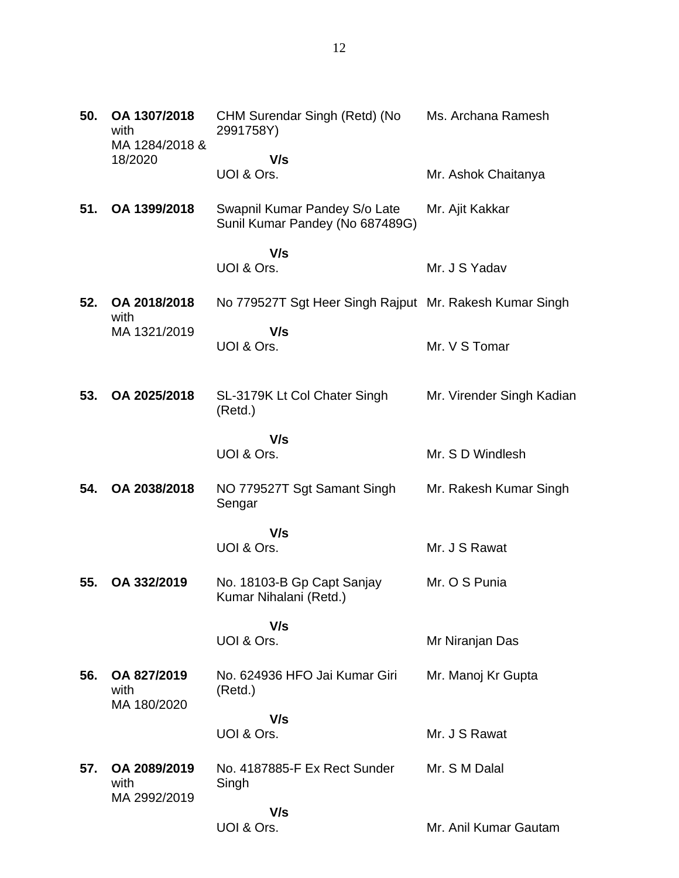| 50. | OA 1307/2018<br>with<br>MA 1284/2018 &<br>18/2020 | CHM Surendar Singh (Retd) (No<br>2991758Y)                       | Ms. Archana Ramesh        |
|-----|---------------------------------------------------|------------------------------------------------------------------|---------------------------|
|     |                                                   | V/s                                                              |                           |
|     |                                                   | UOI & Ors.                                                       | Mr. Ashok Chaitanya       |
| 51. | OA 1399/2018                                      | Swapnil Kumar Pandey S/o Late<br>Sunil Kumar Pandey (No 687489G) | Mr. Ajit Kakkar           |
|     |                                                   | V/s<br>UOI & Ors.                                                | Mr. J S Yadav             |
|     |                                                   |                                                                  |                           |
| 52. | OA 2018/2018<br>with                              | No 779527T Sgt Heer Singh Rajput Mr. Rakesh Kumar Singh          |                           |
|     | MA 1321/2019                                      | V/s<br>UOI & Ors.                                                | Mr. V S Tomar             |
| 53. | OA 2025/2018                                      | SL-3179K Lt Col Chater Singh<br>(Retd.)                          | Mr. Virender Singh Kadian |
|     |                                                   | V/s<br>UOI & Ors.                                                | Mr. S D Windlesh          |
| 54. | OA 2038/2018                                      | NO 779527T Sgt Samant Singh<br>Sengar                            | Mr. Rakesh Kumar Singh    |
|     |                                                   | V/s<br>UOI & Ors.                                                | Mr. J S Rawat             |
| 55. | OA 332/2019                                       | No. 18103-B Gp Capt Sanjay<br>Kumar Nihalani (Retd.)             | Mr. O S Punia             |
|     |                                                   | V/s<br>UOI & Ors.                                                | Mr Niranjan Das           |
| 56. | OA 827/2019<br>with<br>MA 180/2020                | No. 624936 HFO Jai Kumar Giri<br>(Retd.)                         | Mr. Manoj Kr Gupta        |
|     |                                                   | V/s<br>UOI & Ors.                                                | Mr. J S Rawat             |
| 57. | OA 2089/2019<br>with                              | No. 4187885-F Ex Rect Sunder<br>Singh                            | Mr. S M Dalal             |
|     | MA 2992/2019                                      | V/s<br>UOI & Ors.                                                | Mr. Anil Kumar Gautam     |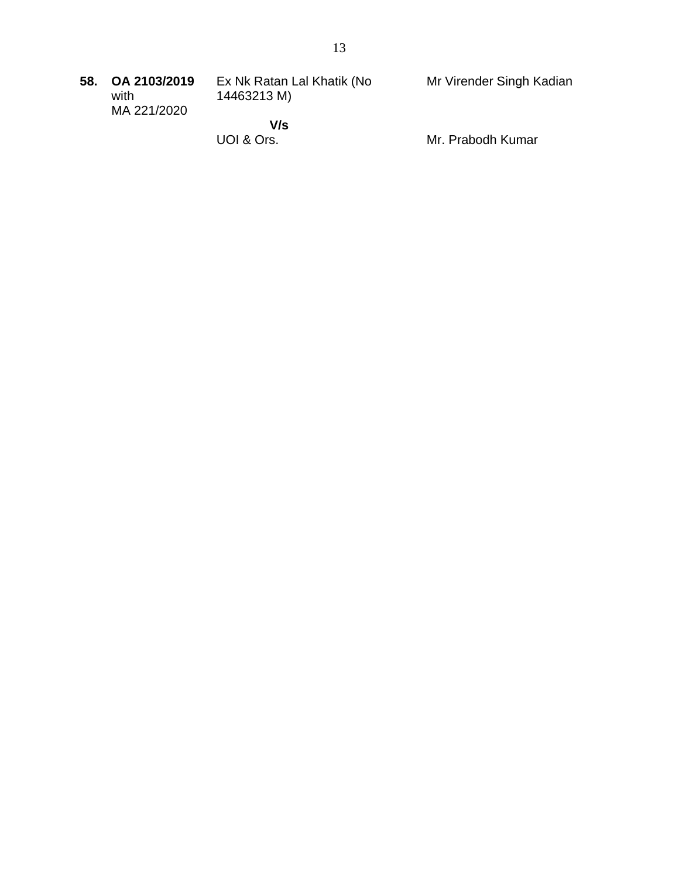| 58. | OA 2103/2019<br>with | Ex Nk Ratan Lal Khatik (No<br>14463213 M) | Mr Virender Singh Kadian |
|-----|----------------------|-------------------------------------------|--------------------------|
|     | MA 221/2020          |                                           |                          |
|     |                      | V/s                                       |                          |
|     |                      | UOI & Ors.                                | Mr. Prabodh Kumar        |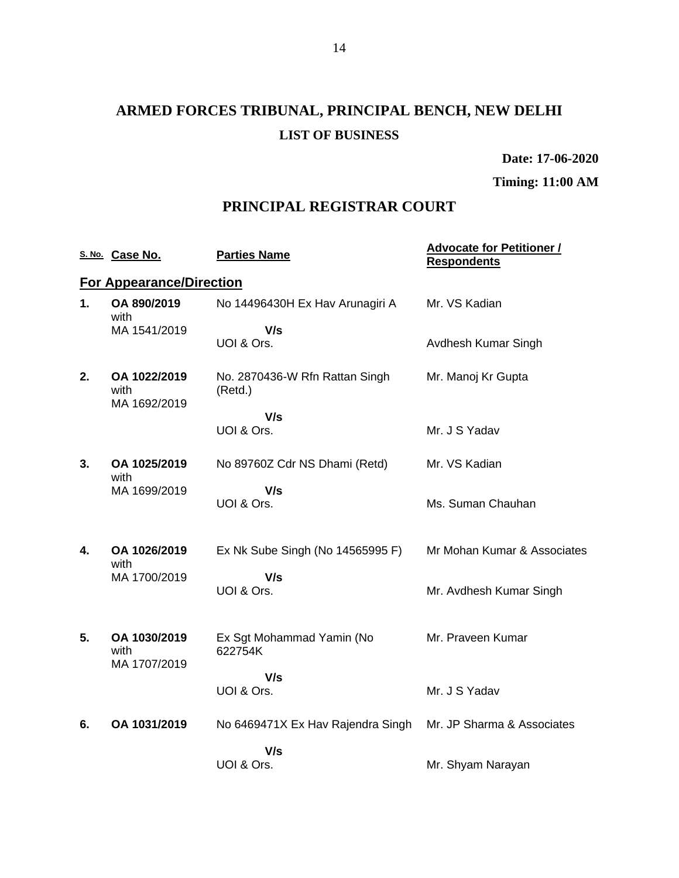# **ARMED FORCES TRIBUNAL, PRINCIPAL BENCH, NEW DELHI LIST OF BUSINESS**

**Date: 17-06-2020**

**Timing: 11:00 AM**

### **PRINCIPAL REGISTRAR COURT**

|    | S. No. Case No.                      | <b>Parties Name</b>                       | <b>Advocate for Petitioner /</b><br><b>Respondents</b> |
|----|--------------------------------------|-------------------------------------------|--------------------------------------------------------|
|    | <b>For Appearance/Direction</b>      |                                           |                                                        |
| 1. | OA 890/2019<br>with                  | No 14496430H Ex Hav Arunagiri A           | Mr. VS Kadian                                          |
|    | MA 1541/2019                         | V/s<br>UOI & Ors.                         | Avdhesh Kumar Singh                                    |
| 2. | OA 1022/2019<br>with                 | No. 2870436-W Rfn Rattan Singh<br>(Retd.) | Mr. Manoj Kr Gupta                                     |
|    | MA 1692/2019                         | V/s                                       |                                                        |
|    |                                      | UOI & Ors.                                | Mr. J S Yadav                                          |
| 3. | OA 1025/2019<br>with                 | No 89760Z Cdr NS Dhami (Retd)             | Mr. VS Kadian                                          |
|    | MA 1699/2019                         | V/s<br>UOI & Ors.                         | Ms. Suman Chauhan                                      |
| 4. | OA 1026/2019<br>with                 | Ex Nk Sube Singh (No 14565995 F)          | Mr Mohan Kumar & Associates                            |
|    | MA 1700/2019                         | V/s<br>UOI & Ors.                         | Mr. Avdhesh Kumar Singh                                |
| 5. | OA 1030/2019<br>with<br>MA 1707/2019 | Ex Sgt Mohammad Yamin (No<br>622754K      | Mr. Praveen Kumar                                      |
|    |                                      | V/s<br>UOI & Ors.                         | Mr. J S Yadav                                          |
| 6. | OA 1031/2019                         | No 6469471X Ex Hav Rajendra Singh         | Mr. JP Sharma & Associates                             |
|    |                                      | V/s<br>UOI & Ors.                         | Mr. Shyam Narayan                                      |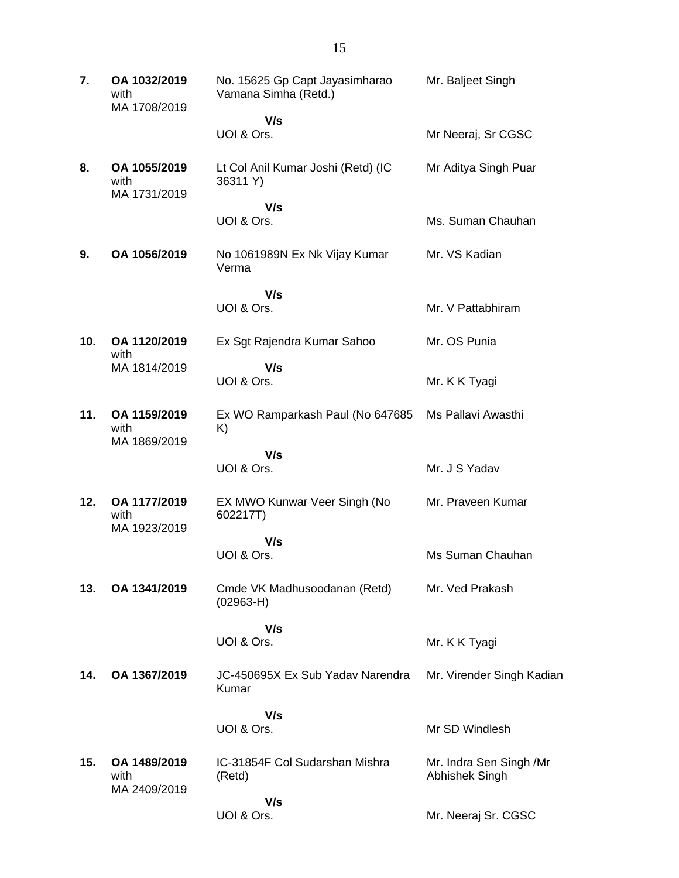| 7.  | OA 1032/2019<br>with<br>MA 1708/2019 | No. 15625 Gp Capt Jayasimharao<br>Vamana Simha (Retd.) | Mr. Baljeet Singh                         |
|-----|--------------------------------------|--------------------------------------------------------|-------------------------------------------|
|     |                                      | V/s                                                    |                                           |
|     |                                      | UOI & Ors.                                             | Mr Neeraj, Sr CGSC                        |
| 8.  | OA 1055/2019<br>with<br>MA 1731/2019 | Lt Col Anil Kumar Joshi (Retd) (IC<br>36311 Y)         | Mr Aditya Singh Puar                      |
|     |                                      | V/s                                                    |                                           |
|     |                                      | UOI & Ors.                                             | Ms. Suman Chauhan                         |
| 9.  | OA 1056/2019                         | No 1061989N Ex Nk Vijay Kumar<br>Verma                 | Mr. VS Kadian                             |
|     |                                      | V/s                                                    |                                           |
|     |                                      | UOI & Ors.                                             | Mr. V Pattabhiram                         |
| 10. | OA 1120/2019                         | Ex Sgt Rajendra Kumar Sahoo                            | Mr. OS Punia                              |
|     | with<br>MA 1814/2019                 | V/s                                                    |                                           |
|     |                                      | UOI & Ors.                                             | Mr. K K Tyagi                             |
| 11. | OA 1159/2019<br>with<br>MA 1869/2019 | Ex WO Ramparkash Paul (No 647685<br>K)                 | Ms Pallavi Awasthi                        |
|     |                                      | V/s                                                    |                                           |
|     |                                      | UOI & Ors.                                             | Mr. J S Yadav                             |
| 12. | OA 1177/2019<br>with<br>MA 1923/2019 | EX MWO Kunwar Veer Singh (No<br>602217T)               | Mr. Praveen Kumar                         |
|     |                                      | V/s                                                    |                                           |
|     |                                      | UOI & Ors.                                             | Ms Suman Chauhan                          |
| 13. | OA 1341/2019                         | Cmde VK Madhusoodanan (Retd)<br>$(02963-H)$            | Mr. Ved Prakash                           |
|     |                                      | V/s                                                    |                                           |
|     |                                      | UOI & Ors.                                             | Mr. K K Tyagi                             |
| 14. | OA 1367/2019                         | JC-450695X Ex Sub Yadav Narendra<br>Kumar              | Mr. Virender Singh Kadian                 |
|     |                                      | V/s                                                    |                                           |
|     |                                      | UOI & Ors.                                             | Mr SD Windlesh                            |
| 15. | OA 1489/2019<br>with<br>MA 2409/2019 | IC-31854F Col Sudarshan Mishra<br>(Retd)               | Mr. Indra Sen Singh /Mr<br>Abhishek Singh |
|     |                                      | V/s                                                    |                                           |
|     |                                      | UOI & Ors.                                             | Mr. Neeraj Sr. CGSC                       |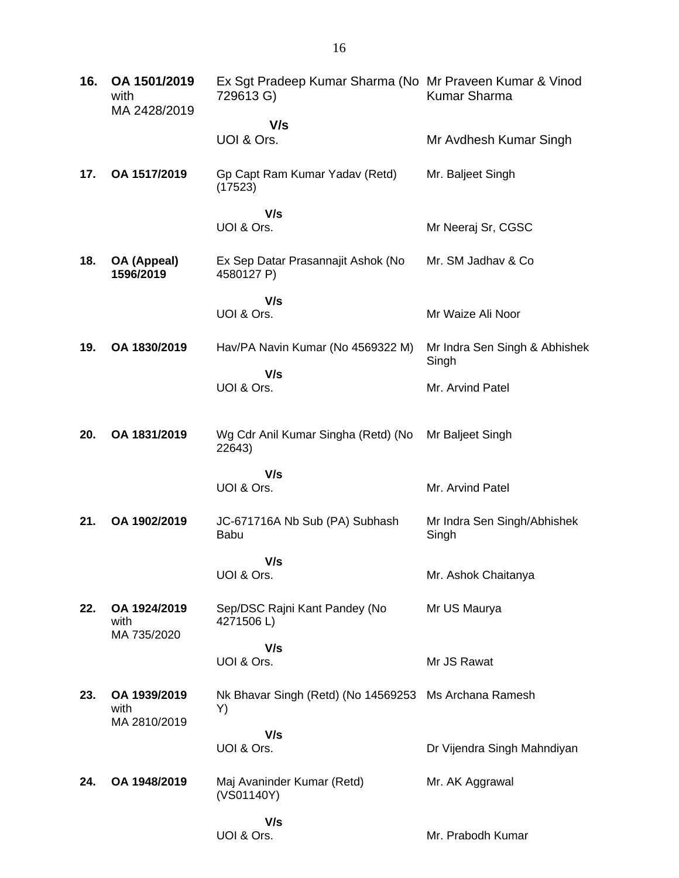| 16. | OA 1501/2019<br>with<br>MA 2428/2019 | Ex Sgt Pradeep Kumar Sharma (No Mr Praveen Kumar & Vinod<br>729613 G) | <b>Kumar Sharma</b>                    |
|-----|--------------------------------------|-----------------------------------------------------------------------|----------------------------------------|
|     |                                      | V/s                                                                   |                                        |
|     |                                      | UOI & Ors.                                                            | Mr Avdhesh Kumar Singh                 |
| 17. | OA 1517/2019                         | Gp Capt Ram Kumar Yadav (Retd)<br>(17523)                             | Mr. Baljeet Singh                      |
|     |                                      | V/s                                                                   |                                        |
|     |                                      | UOI & Ors.                                                            | Mr Neeraj Sr, CGSC                     |
| 18. | OA (Appeal)<br>1596/2019             | Ex Sep Datar Prasannajit Ashok (No<br>4580127 P)                      | Mr. SM Jadhav & Co                     |
|     |                                      | V/s                                                                   |                                        |
|     |                                      | UOI & Ors.                                                            | Mr Waize Ali Noor                      |
| 19. | OA 1830/2019                         | Hav/PA Navin Kumar (No 4569322 M)                                     | Mr Indra Sen Singh & Abhishek<br>Singh |
|     |                                      | V/s                                                                   |                                        |
|     |                                      | UOI & Ors.                                                            | Mr. Arvind Patel                       |
| 20. | OA 1831/2019                         | Wg Cdr Anil Kumar Singha (Retd) (No<br>22643)                         | Mr Baljeet Singh                       |
|     |                                      | V/s                                                                   |                                        |
|     |                                      | UOI & Ors.                                                            | Mr. Arvind Patel                       |
| 21. | OA 1902/2019                         | JC-671716A Nb Sub (PA) Subhash<br><b>Babu</b>                         | Mr Indra Sen Singh/Abhishek<br>Singh   |
|     |                                      | V/s                                                                   |                                        |
|     |                                      | UOI & Ors.                                                            | Mr. Ashok Chaitanya                    |
| 22. | OA 1924/2019<br>with                 | Sep/DSC Rajni Kant Pandey (No<br>4271506L)                            | Mr US Maurya                           |
|     | MA 735/2020                          | V/s                                                                   |                                        |
|     |                                      | UOI & Ors.                                                            | Mr JS Rawat                            |
| 23. | OA 1939/2019<br>with                 | Nk Bhavar Singh (Retd) (No 14569253<br>Y)                             | Ms Archana Ramesh                      |
|     | MA 2810/2019                         | V/s                                                                   |                                        |
|     |                                      | UOI & Ors.                                                            | Dr Vijendra Singh Mahndiyan            |
| 24. | OA 1948/2019                         | Maj Avaninder Kumar (Retd)<br>(VS01140Y)                              | Mr. AK Aggrawal                        |
|     |                                      | V/s                                                                   |                                        |
|     |                                      | UOI & Ors.                                                            | Mr. Prabodh Kumar                      |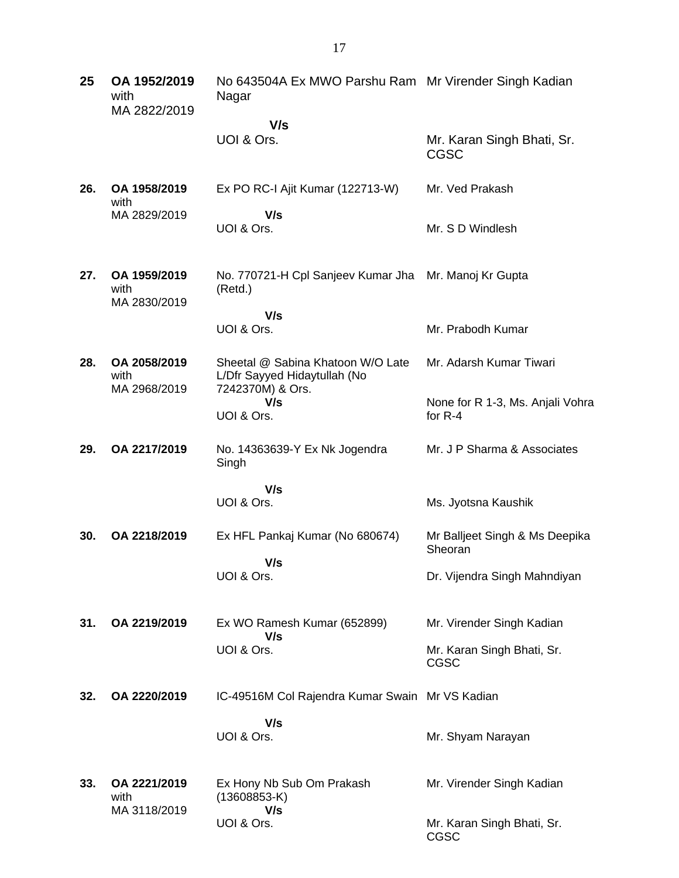| 25  | OA 1952/2019<br>with<br>MA 2822/2019 | No 643504A Ex MWO Parshu Ram Mr Virender Singh Kadian<br>Nagar                        |                                               |
|-----|--------------------------------------|---------------------------------------------------------------------------------------|-----------------------------------------------|
|     |                                      | V/s                                                                                   |                                               |
|     |                                      | UOI & Ors.                                                                            | Mr. Karan Singh Bhati, Sr.<br><b>CGSC</b>     |
| 26. | OA 1958/2019<br>with                 | Ex PO RC-I Ajit Kumar (122713-W)                                                      | Mr. Ved Prakash                               |
|     | MA 2829/2019                         | V/s<br>UOI & Ors.                                                                     | Mr. S D Windlesh                              |
| 27. | OA 1959/2019<br>with<br>MA 2830/2019 | No. 770721-H Cpl Sanjeev Kumar Jha<br>(Retd.)                                         | Mr. Manoj Kr Gupta                            |
|     |                                      | V/s                                                                                   |                                               |
|     |                                      | UOI & Ors.                                                                            | Mr. Prabodh Kumar                             |
| 28. | OA 2058/2019<br>with<br>MA 2968/2019 | Sheetal @ Sabina Khatoon W/O Late<br>L/Dfr Sayyed Hidaytullah (No<br>7242370M) & Ors. | Mr. Adarsh Kumar Tiwari                       |
|     |                                      | V/s<br>UOI & Ors.                                                                     | None for R 1-3, Ms. Anjali Vohra<br>for $R-4$ |
| 29. | OA 2217/2019                         | No. 14363639-Y Ex Nk Jogendra<br>Singh                                                | Mr. J P Sharma & Associates                   |
|     |                                      | V/s                                                                                   |                                               |
|     |                                      | UOI & Ors.                                                                            | Ms. Jyotsna Kaushik                           |
| 30. | OA 2218/2019                         | Ex HFL Pankaj Kumar (No 680674)                                                       | Mr Balljeet Singh & Ms Deepika<br>Sheoran     |
|     |                                      | V/s<br>UOI & Ors.                                                                     | Dr. Vijendra Singh Mahndiyan                  |
| 31. | OA 2219/2019                         | Ex WO Ramesh Kumar (652899)<br>V/s                                                    | Mr. Virender Singh Kadian                     |
|     |                                      | UOI & Ors.                                                                            | Mr. Karan Singh Bhati, Sr.<br>CGSC            |
| 32. | OA 2220/2019                         | IC-49516M Col Rajendra Kumar Swain Mr VS Kadian                                       |                                               |
|     |                                      | V/s<br>UOI & Ors.                                                                     | Mr. Shyam Narayan                             |
| 33. | OA 2221/2019<br>with<br>MA 3118/2019 | Ex Hony Nb Sub Om Prakash<br>$(13608853-K)$<br>V/s                                    | Mr. Virender Singh Kadian                     |
|     |                                      | UOI & Ors.                                                                            | Mr. Karan Singh Bhati, Sr.<br>CGSC            |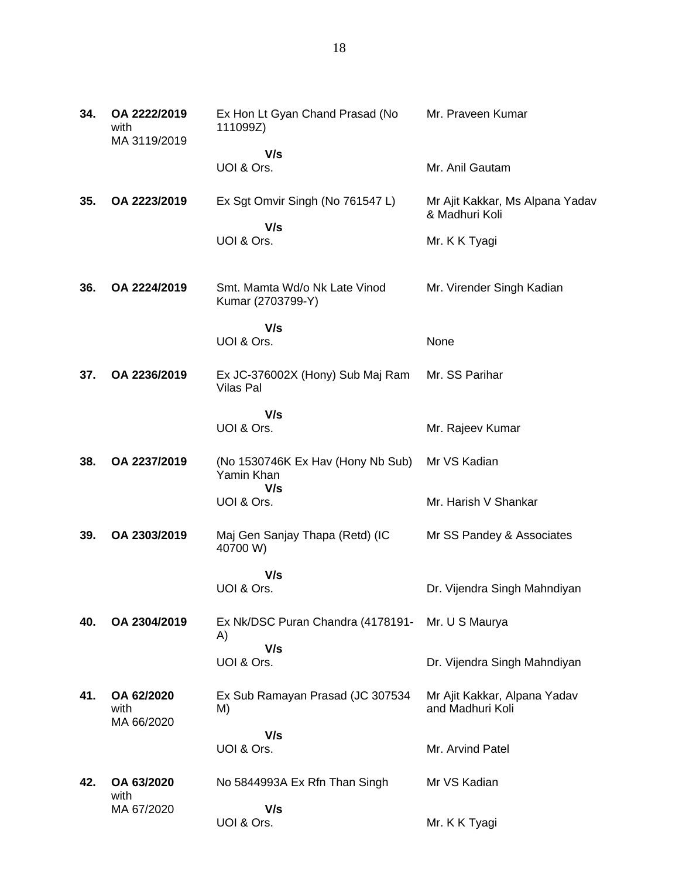| 34. | OA 2222/2019<br>with<br>MA 3119/2019 | Ex Hon Lt Gyan Chand Prasad (No<br>111099Z)                   | Mr. Praveen Kumar                                 |
|-----|--------------------------------------|---------------------------------------------------------------|---------------------------------------------------|
|     |                                      | V/s<br>UOI & Ors.                                             | Mr. Anil Gautam                                   |
| 35. | OA 2223/2019                         | Ex Sgt Omvir Singh (No 761547 L)<br>V/s                       | Mr Ajit Kakkar, Ms Alpana Yadav<br>& Madhuri Koli |
|     |                                      | UOI & Ors.                                                    | Mr. K K Tyagi                                     |
| 36. | OA 2224/2019                         | Smt. Mamta Wd/o Nk Late Vinod<br>Kumar (2703799-Y)            | Mr. Virender Singh Kadian                         |
|     |                                      | V/s<br>UOI & Ors.                                             | None                                              |
| 37. | OA 2236/2019                         | Ex JC-376002X (Hony) Sub Maj Ram<br>Vilas Pal                 | Mr. SS Parihar                                    |
|     |                                      | V/s<br>UOI & Ors.                                             | Mr. Rajeev Kumar                                  |
| 38. | OA 2237/2019                         | (No 1530746K Ex Hav (Hony Nb Sub)<br>Yamin Khan<br>V/s        | Mr VS Kadian                                      |
|     |                                      | UOI & Ors.                                                    | Mr. Harish V Shankar                              |
| 39. | OA 2303/2019                         | Maj Gen Sanjay Thapa (Retd) (IC<br>40700 W)                   | Mr SS Pandey & Associates                         |
|     |                                      | V/s<br>UOI & Ors.                                             | Dr. Vijendra Singh Mahndiyan                      |
| 40. | OA 2304/2019                         | Ex Nk/DSC Puran Chandra (4178191- Mr. U S Maurya<br>A)<br>V/s |                                                   |
|     |                                      | UOI & Ors.                                                    | Dr. Vijendra Singh Mahndiyan                      |
| 41. | OA 62/2020<br>with<br>MA 66/2020     | Ex Sub Ramayan Prasad (JC 307534<br>M)                        | Mr Ajit Kakkar, Alpana Yadav<br>and Madhuri Koli  |
|     |                                      | V/s<br>UOI & Ors.                                             | Mr. Arvind Patel                                  |
| 42. | OA 63/2020<br>with                   | No 5844993A Ex Rfn Than Singh                                 | Mr VS Kadian                                      |
|     | MA 67/2020                           | V/s<br>UOI & Ors.                                             | Mr. K K Tyagi                                     |